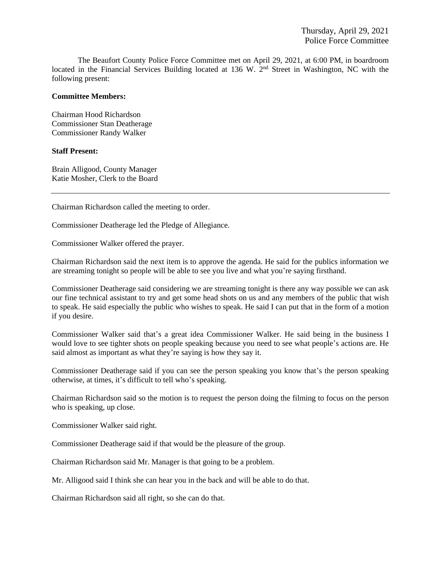The Beaufort County Police Force Committee met on April 29, 2021, at 6:00 PM, in boardroom located in the Financial Services Building located at 136 W. 2<sup>nd</sup> Street in Washington, NC with the following present:

### **Committee Members:**

Chairman Hood Richardson Commissioner Stan Deatherage Commissioner Randy Walker

### **Staff Present:**

Brain Alligood, County Manager Katie Mosher, Clerk to the Board

Chairman Richardson called the meeting to order.

Commissioner Deatherage led the Pledge of Allegiance.

Commissioner Walker offered the prayer.

Chairman Richardson said the next item is to approve the agenda. He said for the publics information we are streaming tonight so people will be able to see you live and what you're saying firsthand.

Commissioner Deatherage said considering we are streaming tonight is there any way possible we can ask our fine technical assistant to try and get some head shots on us and any members of the public that wish to speak. He said especially the public who wishes to speak. He said I can put that in the form of a motion if you desire.

Commissioner Walker said that's a great idea Commissioner Walker. He said being in the business I would love to see tighter shots on people speaking because you need to see what people's actions are. He said almost as important as what they're saying is how they say it.

Commissioner Deatherage said if you can see the person speaking you know that's the person speaking otherwise, at times, it's difficult to tell who's speaking.

Chairman Richardson said so the motion is to request the person doing the filming to focus on the person who is speaking, up close.

Commissioner Walker said right.

Commissioner Deatherage said if that would be the pleasure of the group.

Chairman Richardson said Mr. Manager is that going to be a problem.

Mr. Alligood said I think she can hear you in the back and will be able to do that.

Chairman Richardson said all right, so she can do that.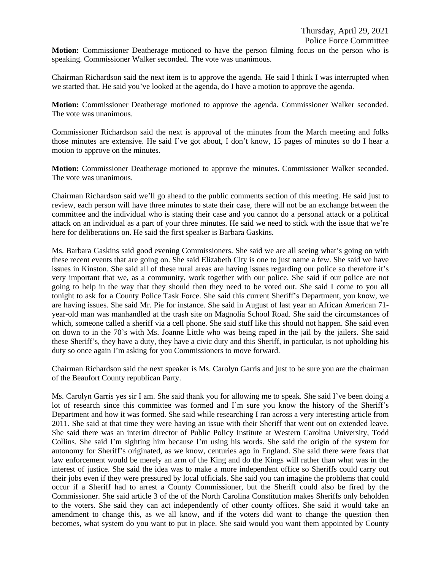**Motion:** Commissioner Deatherage motioned to have the person filming focus on the person who is speaking. Commissioner Walker seconded. The vote was unanimous.

Chairman Richardson said the next item is to approve the agenda. He said I think I was interrupted when we started that. He said you've looked at the agenda, do I have a motion to approve the agenda.

**Motion:** Commissioner Deatherage motioned to approve the agenda. Commissioner Walker seconded. The vote was unanimous.

Commissioner Richardson said the next is approval of the minutes from the March meeting and folks those minutes are extensive. He said I've got about, I don't know, 15 pages of minutes so do I hear a motion to approve on the minutes.

**Motion:** Commissioner Deatherage motioned to approve the minutes. Commissioner Walker seconded. The vote was unanimous.

Chairman Richardson said we'll go ahead to the public comments section of this meeting. He said just to review, each person will have three minutes to state their case, there will not be an exchange between the committee and the individual who is stating their case and you cannot do a personal attack or a political attack on an individual as a part of your three minutes. He said we need to stick with the issue that we're here for deliberations on. He said the first speaker is Barbara Gaskins.

Ms. Barbara Gaskins said good evening Commissioners. She said we are all seeing what's going on with these recent events that are going on. She said Elizabeth City is one to just name a few. She said we have issues in Kinston. She said all of these rural areas are having issues regarding our police so therefore it's very important that we, as a community, work together with our police. She said if our police are not going to help in the way that they should then they need to be voted out. She said I come to you all tonight to ask for a County Police Task Force. She said this current Sheriff's Department, you know, we are having issues. She said Mr. Pie for instance. She said in August of last year an African American 71 year-old man was manhandled at the trash site on Magnolia School Road. She said the circumstances of which, someone called a sheriff via a cell phone. She said stuff like this should not happen. She said even on down to in the 70's with Ms. Joanne Little who was being raped in the jail by the jailers. She said these Sheriff's, they have a duty, they have a civic duty and this Sheriff, in particular, is not upholding his duty so once again I'm asking for you Commissioners to move forward.

Chairman Richardson said the next speaker is Ms. Carolyn Garris and just to be sure you are the chairman of the Beaufort County republican Party.

Ms. Carolyn Garris yes sir I am. She said thank you for allowing me to speak. She said I've been doing a lot of research since this committee was formed and I'm sure you know the history of the Sheriff's Department and how it was formed. She said while researching I ran across a very interesting article from 2011. She said at that time they were having an issue with their Sheriff that went out on extended leave. She said there was an interim director of Public Policy Institute at Western Carolina University, Todd Collins. She said I'm sighting him because I'm using his words. She said the origin of the system for autonomy for Sheriff's originated, as we know, centuries ago in England. She said there were fears that law enforcement would be merely an arm of the King and do the Kings will rather than what was in the interest of justice. She said the idea was to make a more independent office so Sheriffs could carry out their jobs even if they were pressured by local officials. She said you can imagine the problems that could occur if a Sheriff had to arrest a County Commissioner, but the Sheriff could also be fired by the Commissioner. She said article 3 of the of the North Carolina Constitution makes Sheriffs only beholden to the voters. She said they can act independently of other county offices. She said it would take an amendment to change this, as we all know, and if the voters did want to change the question then becomes, what system do you want to put in place. She said would you want them appointed by County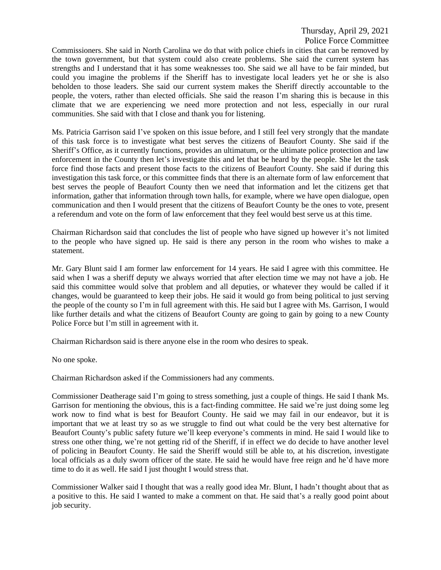Commissioners. She said in North Carolina we do that with police chiefs in cities that can be removed by the town government, but that system could also create problems. She said the current system has strengths and I understand that it has some weaknesses too. She said we all have to be fair minded, but could you imagine the problems if the Sheriff has to investigate local leaders yet he or she is also beholden to those leaders. She said our current system makes the Sheriff directly accountable to the people, the voters, rather than elected officials. She said the reason I'm sharing this is because in this climate that we are experiencing we need more protection and not less, especially in our rural communities. She said with that I close and thank you for listening.

Ms. Patricia Garrison said I've spoken on this issue before, and I still feel very strongly that the mandate of this task force is to investigate what best serves the citizens of Beaufort County. She said if the Sheriff's Office, as it currently functions, provides an ultimatum, or the ultimate police protection and law enforcement in the County then let's investigate this and let that be heard by the people. She let the task force find those facts and present those facts to the citizens of Beaufort County. She said if during this investigation this task force, or this committee finds that there is an alternate form of law enforcement that best serves the people of Beaufort County then we need that information and let the citizens get that information, gather that information through town halls, for example, where we have open dialogue, open communication and then I would present that the citizens of Beaufort County be the ones to vote, present a referendum and vote on the form of law enforcement that they feel would best serve us at this time.

Chairman Richardson said that concludes the list of people who have signed up however it's not limited to the people who have signed up. He said is there any person in the room who wishes to make a statement.

Mr. Gary Blunt said I am former law enforcement for 14 years. He said I agree with this committee. He said when I was a sheriff deputy we always worried that after election time we may not have a job. He said this committee would solve that problem and all deputies, or whatever they would be called if it changes, would be guaranteed to keep their jobs. He said it would go from being political to just serving the people of the county so I'm in full agreement with this. He said but I agree with Ms. Garrison, I would like further details and what the citizens of Beaufort County are going to gain by going to a new County Police Force but I'm still in agreement with it.

Chairman Richardson said is there anyone else in the room who desires to speak.

No one spoke.

Chairman Richardson asked if the Commissioners had any comments.

Commissioner Deatherage said I'm going to stress something, just a couple of things. He said I thank Ms. Garrison for mentioning the obvious, this is a fact-finding committee. He said we're just doing some leg work now to find what is best for Beaufort County. He said we may fail in our endeavor, but it is important that we at least try so as we struggle to find out what could be the very best alternative for Beaufort County's public safety future we'll keep everyone's comments in mind. He said I would like to stress one other thing, we're not getting rid of the Sheriff, if in effect we do decide to have another level of policing in Beaufort County. He said the Sheriff would still be able to, at his discretion, investigate local officials as a duly sworn officer of the state. He said he would have free reign and he'd have more time to do it as well. He said I just thought I would stress that.

Commissioner Walker said I thought that was a really good idea Mr. Blunt, I hadn't thought about that as a positive to this. He said I wanted to make a comment on that. He said that's a really good point about job security.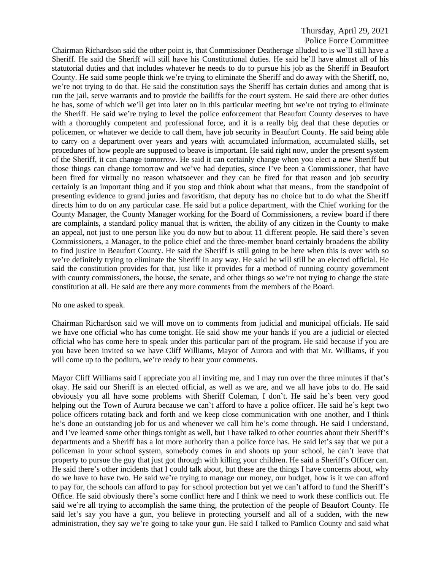Chairman Richardson said the other point is, that Commissioner Deatherage alluded to is we'll still have a Sheriff. He said the Sheriff will still have his Constitutional duties. He said he'll have almost all of his statutorial duties and that includes whatever he needs to do to pursue his job as the Sheriff in Beaufort County. He said some people think we're trying to eliminate the Sheriff and do away with the Sheriff, no, we're not trying to do that. He said the constitution says the Sheriff has certain duties and among that is run the jail, serve warrants and to provide the bailiffs for the court system. He said there are other duties he has, some of which we'll get into later on in this particular meeting but we're not trying to eliminate the Sheriff. He said we're trying to level the police enforcement that Beaufort County deserves to have with a thoroughly competent and professional force, and it is a really big deal that these deputies or policemen, or whatever we decide to call them, have job security in Beaufort County. He said being able to carry on a department over years and years with accumulated information, accumulated skills, set procedures of how people are supposed to beave is important. He said right now, under the present system of the Sheriff, it can change tomorrow. He said it can certainly change when you elect a new Sheriff but those things can change tomorrow and we've had deputies, since I've been a Commissioner, that have been fired for virtually no reason whatsoever and they can be fired for that reason and job security certainly is an important thing and if you stop and think about what that means., from the standpoint of presenting evidence to grand juries and favoritism, that deputy has no choice but to do what the Sheriff directs him to do on any particular case. He said but a police department, with the Chief working for the County Manager, the County Manager working for the Board of Commissioners, a review board if there are complaints, a standard policy manual that is written, the ability of any citizen in the County to make an appeal, not just to one person like you do now but to about 11 different people. He said there's seven Commissioners, a Manager, to the police chief and the three-member board certainly broadens the ability to find justice in Beaufort County. He said the Sheriff is still going to be here when this is over with so we're definitely trying to eliminate the Sheriff in any way. He said he will still be an elected official. He said the constitution provides for that, just like it provides for a method of running county government with county commissioners, the house, the senate, and other things so we're not trying to change the state constitution at all. He said are there any more comments from the members of the Board.

### No one asked to speak.

Chairman Richardson said we will move on to comments from judicial and municipal officials. He said we have one official who has come tonight. He said show me your hands if you are a judicial or elected official who has come here to speak under this particular part of the program. He said because if you are you have been invited so we have Cliff Williams, Mayor of Aurora and with that Mr. Williams, if you will come up to the podium, we're ready to hear your comments.

Mayor Cliff Williams said I appreciate you all inviting me, and I may run over the three minutes if that's okay. He said our Sheriff is an elected official, as well as we are, and we all have jobs to do. He said obviously you all have some problems with Sheriff Coleman, I don't. He said he's been very good helping out the Town of Aurora because we can't afford to have a police officer. He said he's kept two police officers rotating back and forth and we keep close communication with one another, and I think he's done an outstanding job for us and whenever we call him he's come through. He said I understand, and I've learned some other things tonight as well, but I have talked to other counties about their Sheriff's departments and a Sheriff has a lot more authority than a police force has. He said let's say that we put a policeman in your school system, somebody comes in and shoots up your school, he can't leave that property to pursue the guy that just got through with killing your children. He said a Sheriff's Officer can. He said there's other incidents that I could talk about, but these are the things I have concerns about, why do we have to have two. He said we're trying to manage our money, our budget, how is it we can afford to pay for, the schools can afford to pay for school protection but yet we can't afford to fund the Sheriff's Office. He said obviously there's some conflict here and I think we need to work these conflicts out. He said we're all trying to accomplish the same thing, the protection of the people of Beaufort County. He said let's say you have a gun, you believe in protecting yourself and all of a sudden, with the new administration, they say we're going to take your gun. He said I talked to Pamlico County and said what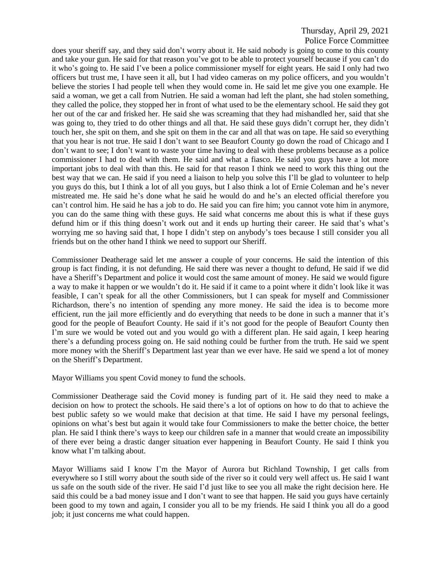does your sheriff say, and they said don't worry about it. He said nobody is going to come to this county and take your gun. He said for that reason you've got to be able to protect yourself because if you can't do it who's going to. He said I've been a police commissioner myself for eight years. He said I only had two officers but trust me, I have seen it all, but I had video cameras on my police officers, and you wouldn't believe the stories I had people tell when they would come in. He said let me give you one example. He said a woman, we get a call from Nutrien. He said a woman had left the plant, she had stolen something, they called the police, they stopped her in front of what used to be the elementary school. He said they got her out of the car and frisked her. He said she was screaming that they had mishandled her, said that she was going to, they tried to do other things and all that. He said these guys didn't corrupt her, they didn't touch her, she spit on them, and she spit on them in the car and all that was on tape. He said so everything that you hear is not true. He said I don't want to see Beaufort County go down the road of Chicago and I don't want to see; I don't want to waste your time having to deal with these problems because as a police commissioner I had to deal with them. He said and what a fiasco. He said you guys have a lot more important jobs to deal with than this. He said for that reason I think we need to work this thing out the best way that we can. He said if you need a liaison to help you solve this I'll be glad to volunteer to help you guys do this, but I think a lot of all you guys, but I also think a lot of Ernie Coleman and he's never mistreated me. He said he's done what he said he would do and he's an elected official therefore you can't control him. He said he has a job to do. He said you can fire him; you cannot vote him in anymore, you can do the same thing with these guys. He said what concerns me about this is what if these guys defund him or if this thing doesn't work out and it ends up hurting their career. He said that's what's worrying me so having said that, I hope I didn't step on anybody's toes because I still consider you all friends but on the other hand I think we need to support our Sheriff.

Commissioner Deatherage said let me answer a couple of your concerns. He said the intention of this group is fact finding, it is not defunding. He said there was never a thought to defund, He said if we did have a Sheriff's Department and police it would cost the same amount of money. He said we would figure a way to make it happen or we wouldn't do it. He said if it came to a point where it didn't look like it was feasible, I can't speak for all the other Commissioners, but I can speak for myself and Commissioner Richardson, there's no intention of spending any more money. He said the idea is to become more efficient, run the jail more efficiently and do everything that needs to be done in such a manner that it's good for the people of Beaufort County. He said if it's not good for the people of Beaufort County then I'm sure we would be voted out and you would go with a different plan. He said again, I keep hearing there's a defunding process going on. He said nothing could be further from the truth. He said we spent more money with the Sheriff's Department last year than we ever have. He said we spend a lot of money on the Sheriff's Department.

Mayor Williams you spent Covid money to fund the schools.

Commissioner Deatherage said the Covid money is funding part of it. He said they need to make a decision on how to protect the schools. He said there's a lot of options on how to do that to achieve the best public safety so we would make that decision at that time. He said I have my personal feelings, opinions on what's best but again it would take four Commissioners to make the better choice, the better plan. He said I think there's ways to keep our children safe in a manner that would create an impossibility of there ever being a drastic danger situation ever happening in Beaufort County. He said I think you know what I'm talking about.

Mayor Williams said I know I'm the Mayor of Aurora but Richland Township, I get calls from everywhere so I still worry about the south side of the river so it could very well affect us. He said I want us safe on the south side of the river. He said I'd just like to see you all make the right decision here. He said this could be a bad money issue and I don't want to see that happen. He said you guys have certainly been good to my town and again, I consider you all to be my friends. He said I think you all do a good job; it just concerns me what could happen.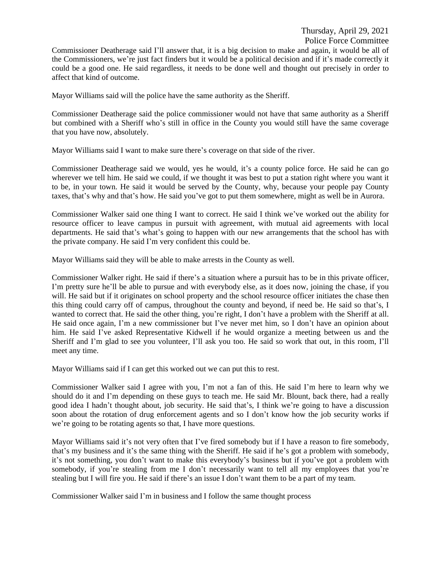Commissioner Deatherage said I'll answer that, it is a big decision to make and again, it would be all of the Commissioners, we're just fact finders but it would be a political decision and if it's made correctly it could be a good one. He said regardless, it needs to be done well and thought out precisely in order to affect that kind of outcome.

Mayor Williams said will the police have the same authority as the Sheriff.

Commissioner Deatherage said the police commissioner would not have that same authority as a Sheriff but combined with a Sheriff who's still in office in the County you would still have the same coverage that you have now, absolutely.

Mayor Williams said I want to make sure there's coverage on that side of the river.

Commissioner Deatherage said we would, yes he would, it's a county police force. He said he can go wherever we tell him. He said we could, if we thought it was best to put a station right where you want it to be, in your town. He said it would be served by the County, why, because your people pay County taxes, that's why and that's how. He said you've got to put them somewhere, might as well be in Aurora.

Commissioner Walker said one thing I want to correct. He said I think we've worked out the ability for resource officer to leave campus in pursuit with agreement, with mutual aid agreements with local departments. He said that's what's going to happen with our new arrangements that the school has with the private company. He said I'm very confident this could be.

Mayor Williams said they will be able to make arrests in the County as well.

Commissioner Walker right. He said if there's a situation where a pursuit has to be in this private officer, I'm pretty sure he'll be able to pursue and with everybody else, as it does now, joining the chase, if you will. He said but if it originates on school property and the school resource officer initiates the chase then this thing could carry off of campus, throughout the county and beyond, if need be. He said so that's, I wanted to correct that. He said the other thing, you're right, I don't have a problem with the Sheriff at all. He said once again, I'm a new commissioner but I've never met him, so I don't have an opinion about him. He said I've asked Representative Kidwell if he would organize a meeting between us and the Sheriff and I'm glad to see you volunteer, I'll ask you too. He said so work that out, in this room, I'll meet any time.

Mayor Williams said if I can get this worked out we can put this to rest.

Commissioner Walker said I agree with you, I'm not a fan of this. He said I'm here to learn why we should do it and I'm depending on these guys to teach me. He said Mr. Blount, back there, had a really good idea I hadn't thought about, job security. He said that's, I think we're going to have a discussion soon about the rotation of drug enforcement agents and so I don't know how the job security works if we're going to be rotating agents so that, I have more questions.

Mayor Williams said it's not very often that I've fired somebody but if I have a reason to fire somebody, that's my business and it's the same thing with the Sheriff. He said if he's got a problem with somebody, it's not something, you don't want to make this everybody's business but if you've got a problem with somebody, if you're stealing from me I don't necessarily want to tell all my employees that you're stealing but I will fire you. He said if there's an issue I don't want them to be a part of my team.

Commissioner Walker said I'm in business and I follow the same thought process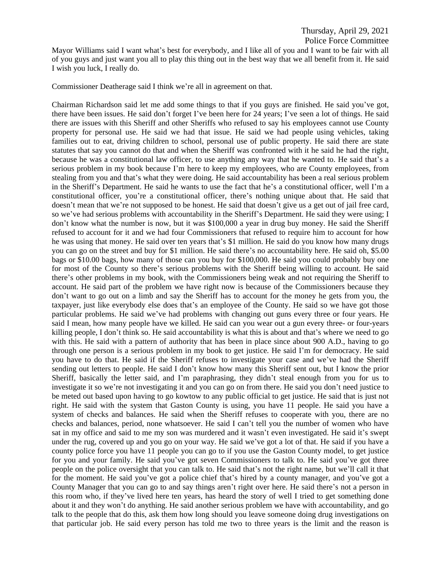Commissioner Deatherage said I think we're all in agreement on that.

Chairman Richardson said let me add some things to that if you guys are finished. He said you've got, there have been issues. He said don't forget I've been here for 24 years; I've seen a lot of things. He said there are issues with this Sheriff and other Sheriffs who refused to say his employees cannot use County property for personal use. He said we had that issue. He said we had people using vehicles, taking families out to eat, driving children to school, personal use of public property. He said there are state statutes that say you cannot do that and when the Sheriff was confronted with it he said he had the right, because he was a constitutional law officer, to use anything any way that he wanted to. He said that's a serious problem in my book because I'm here to keep my employees, who are County employees, from stealing from you and that's what they were doing. He said accountability has been a real serious problem in the Sheriff's Department. He said he wants to use the fact that he's a constitutional officer, well I'm a constitutional officer, you're a constitutional officer, there's nothing unique about that. He said that doesn't mean that we're not supposed to be honest. He said that doesn't give us a get out of jail free card, so we've had serious problems with accountability in the Sheriff's Department. He said they were using; I don't know what the number is now, but it was \$100,000 a year in drug buy money. He said the Sheriff refused to account for it and we had four Commissioners that refused to require him to account for how he was using that money. He said over ten years that's \$1 million. He said do you know how many drugs you can go on the street and buy for \$1 million. He said there's no accountability here. He said oh, \$5.00 bags or \$10.00 bags, how many of those can you buy for \$100,000. He said you could probably buy one for most of the County so there's serious problems with the Sheriff being willing to account. He said there's other problems in my book, with the Commissioners being weak and not requiring the Sheriff to account. He said part of the problem we have right now is because of the Commissioners because they don't want to go out on a limb and say the Sheriff has to account for the money he gets from you, the taxpayer, just like everybody else does that's an employee of the County. He said so we have got those particular problems. He said we've had problems with changing out guns every three or four years. He said I mean, how many people have we killed. He said can you wear out a gun every three- or four-years killing people, I don't think so. He said accountability is what this is about and that's where we need to go with this. He said with a pattern of authority that has been in place since about 900 A.D., having to go through one person is a serious problem in my book to get justice. He said I'm for democracy. He said you have to do that. He said if the Sheriff refuses to investigate your case and we've had the Sheriff sending out letters to people. He said I don't know how many this Sheriff sent out, but I know the prior Sheriff, basically the letter said, and I'm paraphrasing, they didn't steal enough from you for us to investigate it so we're not investigating it and you can go on from there. He said you don't need justice to be meted out based upon having to go kowtow to any public official to get justice. He said that is just not right. He said with the system that Gaston County is using, you have 11 people. He said you have a system of checks and balances. He said when the Sheriff refuses to cooperate with you, there are no checks and balances, period, none whatsoever. He said I can't tell you the number of women who have sat in my office and said to me my son was murdered and it wasn't even investigated. He said it's swept under the rug, covered up and you go on your way. He said we've got a lot of that. He said if you have a county police force you have 11 people you can go to if you use the Gaston County model, to get justice for you and your family. He said you've got seven Commissioners to talk to. He said you've got three people on the police oversight that you can talk to. He said that's not the right name, but we'll call it that for the moment. He said you've got a police chief that's hired by a county manager, and you've got a County Manager that you can go to and say things aren't right over here. He said there's not a person in this room who, if they've lived here ten years, has heard the story of well I tried to get something done about it and they won't do anything. He said another serious problem we have with accountability, and go talk to the people that do this, ask them how long should you leave someone doing drug investigations on that particular job. He said every person has told me two to three years is the limit and the reason is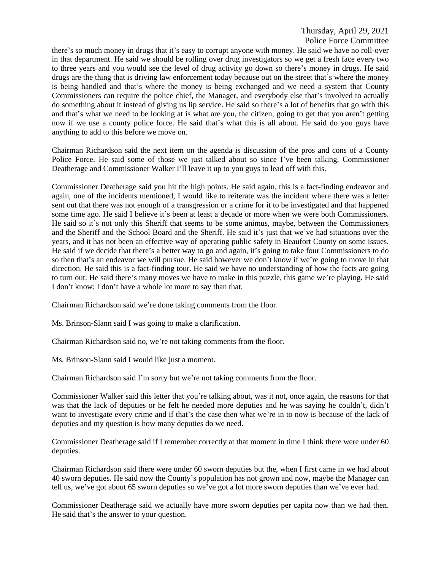there's so much money in drugs that it's easy to corrupt anyone with money. He said we have no roll-over in that department. He said we should be rolling over drug investigators so we get a fresh face every two to three years and you would see the level of drug activity go down so there's money in drugs. He said drugs are the thing that is driving law enforcement today because out on the street that's where the money is being handled and that's where the money is being exchanged and we need a system that County Commissioners can require the police chief, the Manager, and everybody else that's involved to actually do something about it instead of giving us lip service. He said so there's a lot of benefits that go with this and that's what we need to be looking at is what are you, the citizen, going to get that you aren't getting now if we use a county police force. He said that's what this is all about. He said do you guys have anything to add to this before we move on.

Chairman Richardson said the next item on the agenda is discussion of the pros and cons of a County Police Force. He said some of those we just talked about so since I've been talking, Commissioner Deatherage and Commissioner Walker I'll leave it up to you guys to lead off with this.

Commissioner Deatherage said you hit the high points. He said again, this is a fact-finding endeavor and again, one of the incidents mentioned, I would like to reiterate was the incident where there was a letter sent out that there was not enough of a transgression or a crime for it to be investigated and that happened some time ago. He said I believe it's been at least a decade or more when we were both Commissioners. He said so it's not only this Sheriff that seems to be some animus, maybe, between the Commissioners and the Sheriff and the School Board and the Sheriff. He said it's just that we've had situations over the years, and it has not been an effective way of operating public safety in Beaufort County on some issues. He said if we decide that there's a better way to go and again, it's going to take four Commissioners to do so then that's an endeavor we will pursue. He said however we don't know if we're going to move in that direction. He said this is a fact-finding tour. He said we have no understanding of how the facts are going to turn out. He said there's many moves we have to make in this puzzle, this game we're playing. He said I don't know; I don't have a whole lot more to say than that.

Chairman Richardson said we're done taking comments from the floor.

Ms. Brinson-Slann said I was going to make a clarification.

Chairman Richardson said no, we're not taking comments from the floor.

Ms. Brinson-Slann said I would like just a moment.

Chairman Richardson said I'm sorry but we're not taking comments from the floor.

Commissioner Walker said this letter that you're talking about, was it not, once again, the reasons for that was that the lack of deputies or he felt he needed more deputies and he was saying he couldn't, didn't want to investigate every crime and if that's the case then what we're in to now is because of the lack of deputies and my question is how many deputies do we need.

Commissioner Deatherage said if I remember correctly at that moment in time I think there were under 60 deputies.

Chairman Richardson said there were under 60 sworn deputies but the, when I first came in we had about 40 sworn deputies. He said now the County's population has not grown and now, maybe the Manager can tell us, we've got about 65 sworn deputies so we've got a lot more sworn deputies than we've ever had.

Commissioner Deatherage said we actually have more sworn deputies per capita now than we had then. He said that's the answer to your question.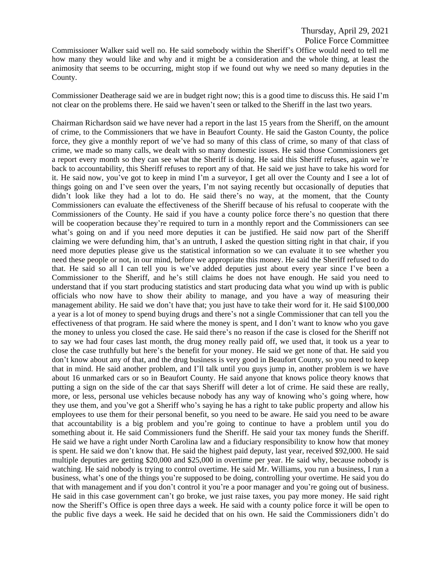Police Force Committee

Commissioner Walker said well no. He said somebody within the Sheriff's Office would need to tell me how many they would like and why and it might be a consideration and the whole thing, at least the animosity that seems to be occurring, might stop if we found out why we need so many deputies in the County.

Commissioner Deatherage said we are in budget right now; this is a good time to discuss this. He said I'm not clear on the problems there. He said we haven't seen or talked to the Sheriff in the last two years.

Chairman Richardson said we have never had a report in the last 15 years from the Sheriff, on the amount of crime, to the Commissioners that we have in Beaufort County. He said the Gaston County, the police force, they give a monthly report of we've had so many of this class of crime, so many of that class of crime, we made so many calls, we dealt with so many domestic issues. He said those Commissioners get a report every month so they can see what the Sheriff is doing. He said this Sheriff refuses, again we're back to accountability, this Sheriff refuses to report any of that. He said we just have to take his word for it. He said now, you've got to keep in mind I'm a surveyor, I get all over the County and I see a lot of things going on and I've seen over the years, I'm not saying recently but occasionally of deputies that didn't look like they had a lot to do. He said there's no way, at the moment, that the County Commissioners can evaluate the effectiveness of the Sheriff because of his refusal to cooperate with the Commissioners of the County. He said if you have a county police force there's no question that there will be cooperation because they're required to turn in a monthly report and the Commissioners can see what's going on and if you need more deputies it can be justified. He said now part of the Sheriff claiming we were defunding him, that's an untruth, I asked the question sitting right in that chair, if you need more deputies please give us the statistical information so we can evaluate it to see whether you need these people or not, in our mind, before we appropriate this money. He said the Sheriff refused to do that. He said so all I can tell you is we've added deputies just about every year since I've been a Commissioner to the Sheriff, and he's still claims he does not have enough. He said you need to understand that if you start producing statistics and start producing data what you wind up with is public officials who now have to show their ability to manage, and you have a way of measuring their management ability. He said we don't have that; you just have to take their word for it. He said \$100,000 a year is a lot of money to spend buying drugs and there's not a single Commissioner that can tell you the effectiveness of that program. He said where the money is spent, and I don't want to know who you gave the money to unless you closed the case. He said there's no reason if the case is closed for the Sheriff not to say we had four cases last month, the drug money really paid off, we used that, it took us a year to close the case truthfully but here's the benefit for your money. He said we get none of that. He said you don't know about any of that, and the drug business is very good in Beaufort County, so you need to keep that in mind. He said another problem, and I'll talk until you guys jump in, another problem is we have about 16 unmarked cars or so in Beaufort County. He said anyone that knows police theory knows that putting a sign on the side of the car that says Sheriff will deter a lot of crime. He said these are really, more, or less, personal use vehicles because nobody has any way of knowing who's going where, how they use them, and you've got a Sheriff who's saying he has a right to take public property and allow his employees to use them for their personal benefit, so you need to be aware. He said you need to be aware that accountability is a big problem and you're going to continue to have a problem until you do something about it. He said Commissioners fund the Sheriff. He said your tax money funds the Sheriff. He said we have a right under North Carolina law and a fiduciary responsibility to know how that money is spent. He said we don't know that. He said the highest paid deputy, last year, received \$92,000. He said multiple deputies are getting \$20,000 and \$25,000 in overtime per year. He said why, because nobody is watching. He said nobody is trying to control overtime. He said Mr. Williams, you run a business, I run a business, what's one of the things you're supposed to be doing, controlling your overtime. He said you do that with management and if you don't control it you're a poor manager and you're going out of business. He said in this case government can't go broke, we just raise taxes, you pay more money. He said right now the Sheriff's Office is open three days a week. He said with a county police force it will be open to the public five days a week. He said he decided that on his own. He said the Commissioners didn't do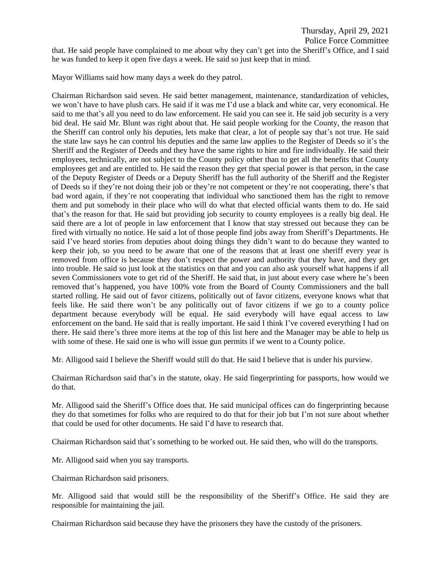that. He said people have complained to me about why they can't get into the Sheriff's Office, and I said he was funded to keep it open five days a week. He said so just keep that in mind.

Mayor Williams said how many days a week do they patrol.

Chairman Richardson said seven. He said better management, maintenance, standardization of vehicles, we won't have to have plush cars. He said if it was me I'd use a black and white car, very economical. He said to me that's all you need to do law enforcement. He said you can see it. He said job security is a very bid deal. He said Mr. Blunt was right about that. He said people working for the County, the reason that the Sheriff can control only his deputies, lets make that clear, a lot of people say that's not true. He said the state law says he can control his deputies and the same law applies to the Register of Deeds so it's the Sheriff and the Register of Deeds and they have the same rights to hire and fire individually. He said their employees, technically, are not subject to the County policy other than to get all the benefits that County employees get and are entitled to. He said the reason they get that special power is that person, in the case of the Deputy Register of Deeds or a Deputy Sheriff has the full authority of the Sheriff and the Register of Deeds so if they're not doing their job or they're not competent or they're not cooperating, there's that bad word again, if they're not cooperating that individual who sanctioned them has the right to remove them and put somebody in their place who will do what that elected official wants them to do. He said that's the reason for that. He said but providing job security to county employees is a really big deal. He said there are a lot of people in law enforcement that I know that stay stressed out because they can be fired with virtually no notice. He said a lot of those people find jobs away from Sheriff's Departments. He said I've heard stories from deputies about doing things they didn't want to do because they wanted to keep their job, so you need to be aware that one of the reasons that at least one sheriff every year is removed from office is because they don't respect the power and authority that they have, and they get into trouble. He said so just look at the statistics on that and you can also ask yourself what happens if all seven Commissioners vote to get rid of the Sheriff. He said that, in just about every case where he's been removed that's happened, you have 100% vote from the Board of County Commissioners and the ball started rolling. He said out of favor citizens, politically out of favor citizens, everyone knows what that feels like. He said there won't be any politically out of favor citizens if we go to a county police department because everybody will be equal. He said everybody will have equal access to law enforcement on the band. He said that is really important. He said I think I've covered everything I had on there. He said there's three more items at the top of this list here and the Manager may be able to help us with some of these. He said one is who will issue gun permits if we went to a County police.

Mr. Alligood said I believe the Sheriff would still do that. He said I believe that is under his purview.

Chairman Richardson said that's in the statute, okay. He said fingerprinting for passports, how would we do that.

Mr. Alligood said the Sheriff's Office does that. He said municipal offices can do fingerprinting because they do that sometimes for folks who are required to do that for their job but I'm not sure about whether that could be used for other documents. He said I'd have to research that.

Chairman Richardson said that's something to be worked out. He said then, who will do the transports.

Mr. Alligood said when you say transports.

Chairman Richardson said prisoners.

Mr. Alligood said that would still be the responsibility of the Sheriff's Office. He said they are responsible for maintaining the jail.

Chairman Richardson said because they have the prisoners they have the custody of the prisoners.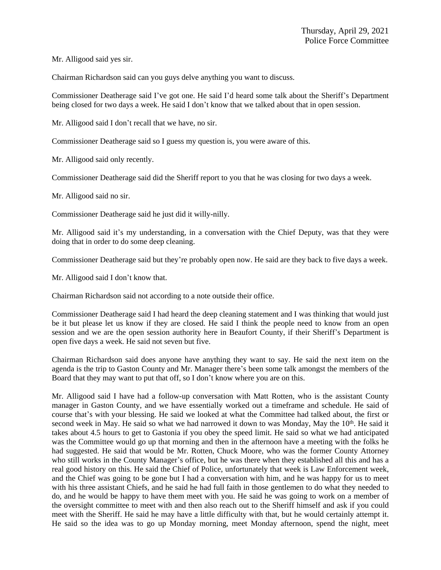Mr. Alligood said yes sir.

Chairman Richardson said can you guys delve anything you want to discuss.

Commissioner Deatherage said I've got one. He said I'd heard some talk about the Sheriff's Department being closed for two days a week. He said I don't know that we talked about that in open session.

Mr. Alligood said I don't recall that we have, no sir.

Commissioner Deatherage said so I guess my question is, you were aware of this.

Mr. Alligood said only recently.

Commissioner Deatherage said did the Sheriff report to you that he was closing for two days a week.

Mr. Alligood said no sir.

Commissioner Deatherage said he just did it willy-nilly.

Mr. Alligood said it's my understanding, in a conversation with the Chief Deputy, was that they were doing that in order to do some deep cleaning.

Commissioner Deatherage said but they're probably open now. He said are they back to five days a week.

Mr. Alligood said I don't know that.

Chairman Richardson said not according to a note outside their office.

Commissioner Deatherage said I had heard the deep cleaning statement and I was thinking that would just be it but please let us know if they are closed. He said I think the people need to know from an open session and we are the open session authority here in Beaufort County, if their Sheriff's Department is open five days a week. He said not seven but five.

Chairman Richardson said does anyone have anything they want to say. He said the next item on the agenda is the trip to Gaston County and Mr. Manager there's been some talk amongst the members of the Board that they may want to put that off, so I don't know where you are on this.

Mr. Alligood said I have had a follow-up conversation with Matt Rotten, who is the assistant County manager in Gaston County, and we have essentially worked out a timeframe and schedule. He said of course that's with your blessing. He said we looked at what the Committee had talked about, the first or second week in May. He said so what we had narrowed it down to was Monday, May the 10<sup>th</sup>. He said it takes about 4.5 hours to get to Gastonia if you obey the speed limit. He said so what we had anticipated was the Committee would go up that morning and then in the afternoon have a meeting with the folks he had suggested. He said that would be Mr. Rotten, Chuck Moore, who was the former County Attorney who still works in the County Manager's office, but he was there when they established all this and has a real good history on this. He said the Chief of Police, unfortunately that week is Law Enforcement week, and the Chief was going to be gone but I had a conversation with him, and he was happy for us to meet with his three assistant Chiefs, and he said he had full faith in those gentlemen to do what they needed to do, and he would be happy to have them meet with you. He said he was going to work on a member of the oversight committee to meet with and then also reach out to the Sheriff himself and ask if you could meet with the Sheriff. He said he may have a little difficulty with that, but he would certainly attempt it. He said so the idea was to go up Monday morning, meet Monday afternoon, spend the night, meet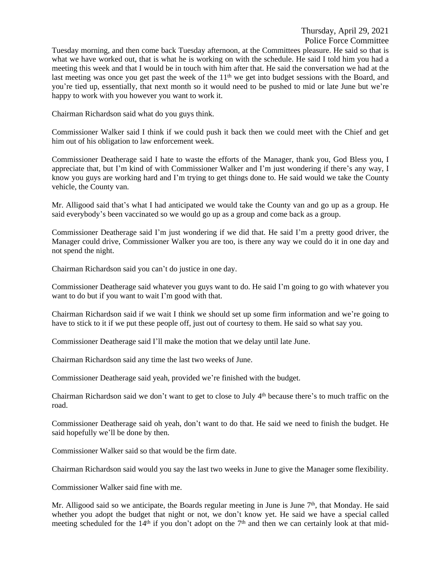Tuesday morning, and then come back Tuesday afternoon, at the Committees pleasure. He said so that is what we have worked out, that is what he is working on with the schedule. He said I told him you had a meeting this week and that I would be in touch with him after that. He said the conversation we had at the last meeting was once you get past the week of the 11<sup>th</sup> we get into budget sessions with the Board, and you're tied up, essentially, that next month so it would need to be pushed to mid or late June but we're happy to work with you however you want to work it.

Chairman Richardson said what do you guys think.

Commissioner Walker said I think if we could push it back then we could meet with the Chief and get him out of his obligation to law enforcement week.

Commissioner Deatherage said I hate to waste the efforts of the Manager, thank you, God Bless you, I appreciate that, but I'm kind of with Commissioner Walker and I'm just wondering if there's any way, I know you guys are working hard and I'm trying to get things done to. He said would we take the County vehicle, the County van.

Mr. Alligood said that's what I had anticipated we would take the County van and go up as a group. He said everybody's been vaccinated so we would go up as a group and come back as a group.

Commissioner Deatherage said I'm just wondering if we did that. He said I'm a pretty good driver, the Manager could drive, Commissioner Walker you are too, is there any way we could do it in one day and not spend the night.

Chairman Richardson said you can't do justice in one day.

Commissioner Deatherage said whatever you guys want to do. He said I'm going to go with whatever you want to do but if you want to wait I'm good with that.

Chairman Richardson said if we wait I think we should set up some firm information and we're going to have to stick to it if we put these people off, just out of courtesy to them. He said so what say you.

Commissioner Deatherage said I'll make the motion that we delay until late June.

Chairman Richardson said any time the last two weeks of June.

Commissioner Deatherage said yeah, provided we're finished with the budget.

Chairman Richardson said we don't want to get to close to July 4<sup>th</sup> because there's to much traffic on the road.

Commissioner Deatherage said oh yeah, don't want to do that. He said we need to finish the budget. He said hopefully we'll be done by then.

Commissioner Walker said so that would be the firm date.

Chairman Richardson said would you say the last two weeks in June to give the Manager some flexibility.

Commissioner Walker said fine with me.

Mr. Alligood said so we anticipate, the Boards regular meeting in June is June 7<sup>th</sup>, that Monday. He said whether you adopt the budget that night or not, we don't know yet. He said we have a special called meeting scheduled for the  $14<sup>th</sup>$  if you don't adopt on the  $7<sup>th</sup>$  and then we can certainly look at that mid-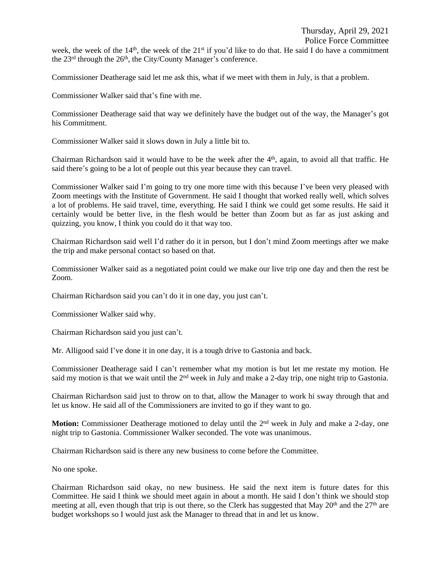week, the week of the  $14<sup>th</sup>$ , the week of the  $21<sup>st</sup>$  if you'd like to do that. He said I do have a commitment the 23<sup>rd</sup> through the 26<sup>th</sup>, the City/County Manager's conference.

Commissioner Deatherage said let me ask this, what if we meet with them in July, is that a problem.

Commissioner Walker said that's fine with me.

Commissioner Deatherage said that way we definitely have the budget out of the way, the Manager's got his Commitment.

Commissioner Walker said it slows down in July a little bit to.

Chairman Richardson said it would have to be the week after the 4<sup>th</sup>, again, to avoid all that traffic. He said there's going to be a lot of people out this year because they can travel.

Commissioner Walker said I'm going to try one more time with this because I've been very pleased with Zoom meetings with the Institute of Government. He said I thought that worked really well, which solves a lot of problems. He said travel, time, everything. He said I think we could get some results. He said it certainly would be better live, in the flesh would be better than Zoom but as far as just asking and quizzing, you know, I think you could do it that way too.

Chairman Richardson said well I'd rather do it in person, but I don't mind Zoom meetings after we make the trip and make personal contact so based on that.

Commissioner Walker said as a negotiated point could we make our live trip one day and then the rest be Zoom.

Chairman Richardson said you can't do it in one day, you just can't.

Commissioner Walker said why.

Chairman Richardson said you just can't.

Mr. Alligood said I've done it in one day, it is a tough drive to Gastonia and back.

Commissioner Deatherage said I can't remember what my motion is but let me restate my motion. He said my motion is that we wait until the  $2<sup>nd</sup>$  week in July and make a 2-day trip, one night trip to Gastonia.

Chairman Richardson said just to throw on to that, allow the Manager to work hi sway through that and let us know. He said all of the Commissioners are invited to go if they want to go.

Motion: Commissioner Deatherage motioned to delay until the 2<sup>nd</sup> week in July and make a 2-day, one night trip to Gastonia. Commissioner Walker seconded. The vote was unanimous.

Chairman Richardson said is there any new business to come before the Committee.

No one spoke.

Chairman Richardson said okay, no new business. He said the next item is future dates for this Committee. He said I think we should meet again in about a month. He said I don't think we should stop meeting at all, even though that trip is out there, so the Clerk has suggested that May  $20<sup>th</sup>$  and the  $27<sup>th</sup>$  are budget workshops so I would just ask the Manager to thread that in and let us know.